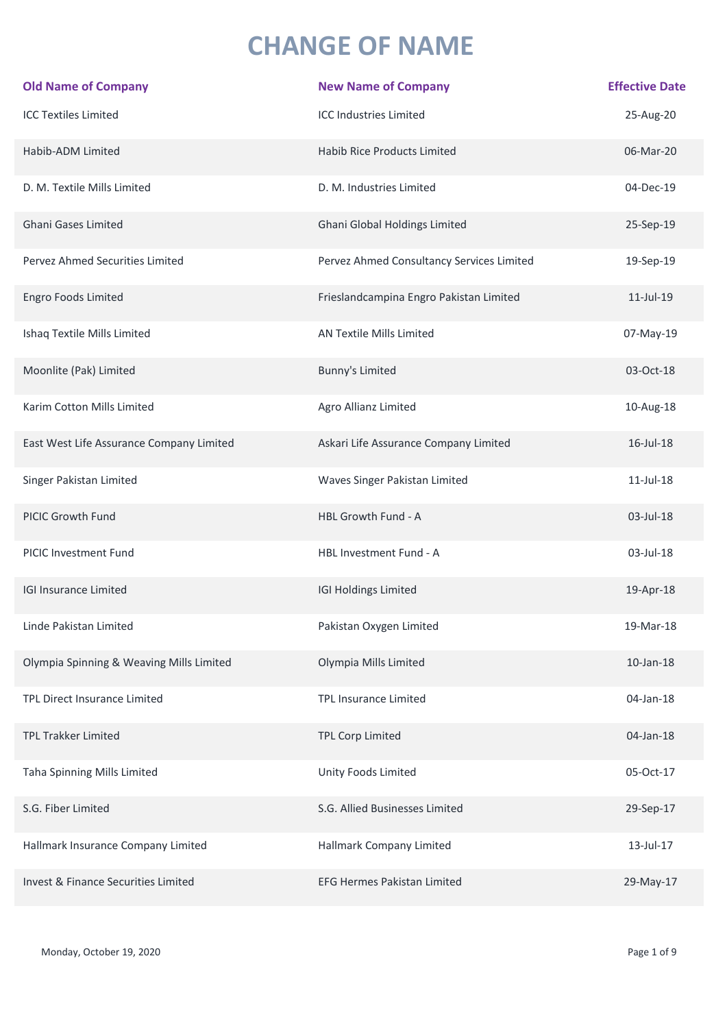## **CHANGE OF NAME**

| <b>Old Name of Company</b>               | <b>New Name of Company</b>                | <b>Effective Date</b> |
|------------------------------------------|-------------------------------------------|-----------------------|
| <b>ICC Textiles Limited</b>              | <b>ICC Industries Limited</b>             | 25-Aug-20             |
| Habib-ADM Limited                        | <b>Habib Rice Products Limited</b>        | 06-Mar-20             |
| D. M. Textile Mills Limited              | D. M. Industries Limited                  | 04-Dec-19             |
| <b>Ghani Gases Limited</b>               | Ghani Global Holdings Limited             | 25-Sep-19             |
| Pervez Ahmed Securities Limited          | Pervez Ahmed Consultancy Services Limited | 19-Sep-19             |
| Engro Foods Limited                      | Frieslandcampina Engro Pakistan Limited   | 11-Jul-19             |
| Ishaq Textile Mills Limited              | AN Textile Mills Limited                  | 07-May-19             |
| Moonlite (Pak) Limited                   | Bunny's Limited                           | 03-Oct-18             |
| Karim Cotton Mills Limited               | Agro Allianz Limited                      | 10-Aug-18             |
| East West Life Assurance Company Limited | Askari Life Assurance Company Limited     | 16-Jul-18             |
| Singer Pakistan Limited                  | Waves Singer Pakistan Limited             | $11$ -Jul- $18$       |
| PICIC Growth Fund                        | HBL Growth Fund - A                       | 03-Jul-18             |
| PICIC Investment Fund                    | HBL Investment Fund - A                   | 03-Jul-18             |
| <b>IGI Insurance Limited</b>             | IGI Holdings Limited                      | 19-Apr-18             |
| Linde Pakistan Limited                   | Pakistan Oxygen Limited                   | 19-Mar-18             |
| Olympia Spinning & Weaving Mills Limited | Olympia Mills Limited                     | $10$ -Jan- $18$       |
| TPL Direct Insurance Limited             | <b>TPL Insurance Limited</b>              | 04-Jan-18             |
| <b>TPL Trakker Limited</b>               | TPL Corp Limited                          | 04-Jan-18             |
| Taha Spinning Mills Limited              | Unity Foods Limited                       | 05-Oct-17             |
| S.G. Fiber Limited                       | S.G. Allied Businesses Limited            | 29-Sep-17             |
| Hallmark Insurance Company Limited       | Hallmark Company Limited                  | 13-Jul-17             |
| Invest & Finance Securities Limited      | <b>EFG Hermes Pakistan Limited</b>        | 29-May-17             |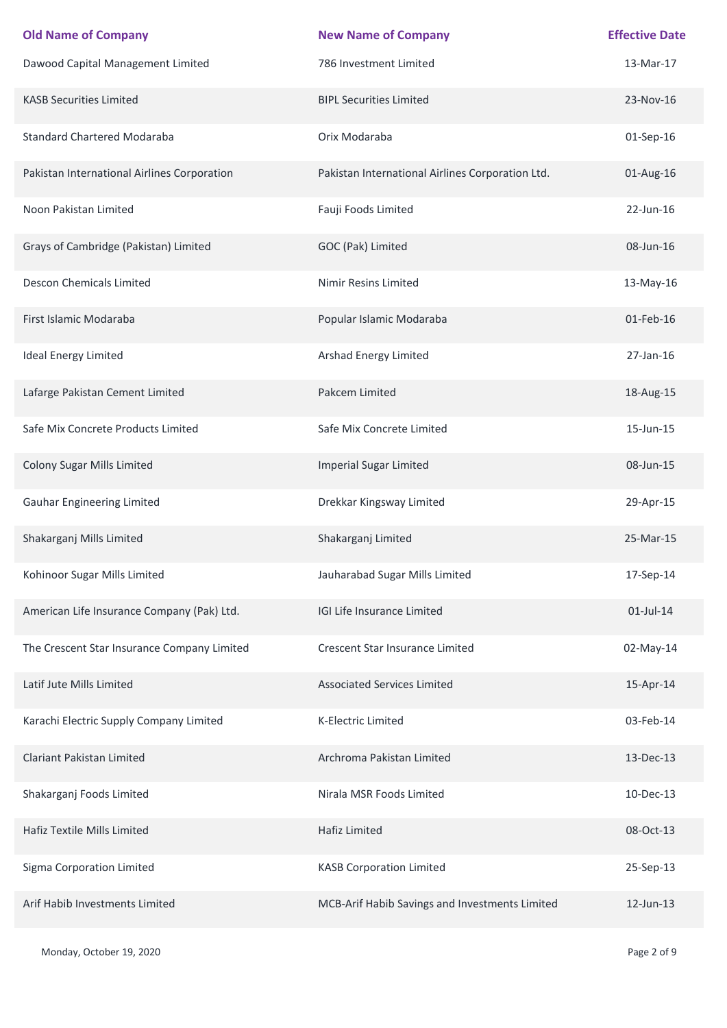| <b>Old Name of Company</b>                  | <b>New Name of Company</b>                       | <b>Effective Date</b> |
|---------------------------------------------|--------------------------------------------------|-----------------------|
| Dawood Capital Management Limited           | 786 Investment Limited                           | 13-Mar-17             |
| <b>KASB Securities Limited</b>              | <b>BIPL Securities Limited</b>                   | 23-Nov-16             |
| <b>Standard Chartered Modaraba</b>          | Orix Modaraba                                    | 01-Sep-16             |
| Pakistan International Airlines Corporation | Pakistan International Airlines Corporation Ltd. | 01-Aug-16             |
| Noon Pakistan Limited                       | Fauji Foods Limited                              | 22-Jun-16             |
| Grays of Cambridge (Pakistan) Limited       | GOC (Pak) Limited                                | 08-Jun-16             |
| <b>Descon Chemicals Limited</b>             | Nimir Resins Limited                             | 13-May-16             |
| First Islamic Modaraba                      | Popular Islamic Modaraba                         | 01-Feb-16             |
| <b>Ideal Energy Limited</b>                 | <b>Arshad Energy Limited</b>                     | 27-Jan-16             |
| Lafarge Pakistan Cement Limited             | Pakcem Limited                                   | 18-Aug-15             |
| Safe Mix Concrete Products Limited          | Safe Mix Concrete Limited                        | 15-Jun-15             |
| Colony Sugar Mills Limited                  | <b>Imperial Sugar Limited</b>                    | 08-Jun-15             |
| <b>Gauhar Engineering Limited</b>           | Drekkar Kingsway Limited                         | 29-Apr-15             |
| Shakarganj Mills Limited                    | Shakarganj Limited                               | 25-Mar-15             |
| Kohinoor Sugar Mills Limited                | Jauharabad Sugar Mills Limited                   | 17-Sep-14             |
| American Life Insurance Company (Pak) Ltd.  | IGI Life Insurance Limited                       | $01$ -Jul-14          |
| The Crescent Star Insurance Company Limited | Crescent Star Insurance Limited                  | 02-May-14             |
| Latif Jute Mills Limited                    | <b>Associated Services Limited</b>               | 15-Apr-14             |
| Karachi Electric Supply Company Limited     | K-Electric Limited                               | 03-Feb-14             |
| <b>Clariant Pakistan Limited</b>            | Archroma Pakistan Limited                        | 13-Dec-13             |
| Shakarganj Foods Limited                    | Nirala MSR Foods Limited                         | 10-Dec-13             |
| Hafiz Textile Mills Limited                 | Hafiz Limited                                    | 08-Oct-13             |
| Sigma Corporation Limited                   | <b>KASB Corporation Limited</b>                  | 25-Sep-13             |
| Arif Habib Investments Limited              | MCB-Arif Habib Savings and Investments Limited   | 12-Jun-13             |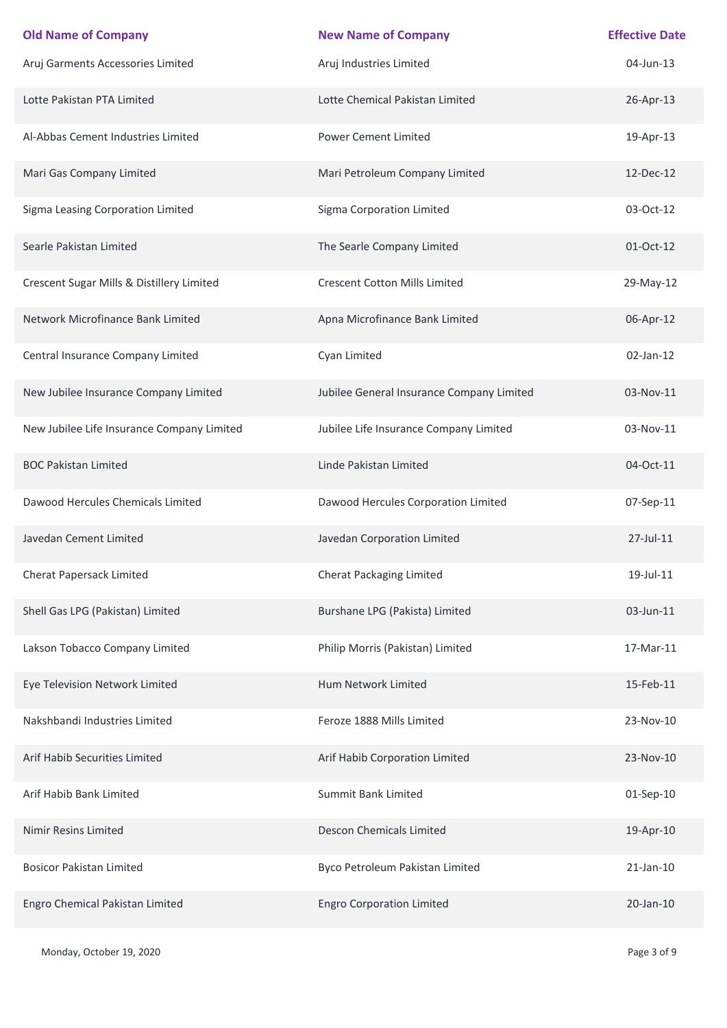| <b>Old Name of Company</b>                 | <b>New Name of Company</b>                | <b>Effective Date</b> |
|--------------------------------------------|-------------------------------------------|-----------------------|
| Aruj Garments Accessories Limited          | Aruj Industries Limited                   | 04-Jun-13             |
| Lotte Pakistan PTA Limited                 | Lotte Chemical Pakistan Limited           | 26-Apr-13             |
| Al-Abbas Cement Industries Limited         | <b>Power Cement Limited</b>               | 19-Apr-13             |
| Mari Gas Company Limited                   | Mari Petroleum Company Limited            | 12-Dec-12             |
| Sigma Leasing Corporation Limited          | Sigma Corporation Limited                 | 03-Oct-12             |
| Searle Pakistan Limited                    | The Searle Company Limited                | 01-Oct-12             |
| Crescent Sugar Mills & Distillery Limited  | <b>Crescent Cotton Mills Limited</b>      | 29-May-12             |
| Network Microfinance Bank Limited          | Apna Microfinance Bank Limited            | 06-Apr-12             |
| Central Insurance Company Limited          | Cyan Limited                              | $02$ -Jan-12          |
| New Jubilee Insurance Company Limited      | Jubilee General Insurance Company Limited | 03-Nov-11             |
| New Jubilee Life Insurance Company Limited | Jubilee Life Insurance Company Limited    | 03-Nov-11             |
| <b>BOC Pakistan Limited</b>                | Linde Pakistan Limited                    | 04-Oct-11             |
| Dawood Hercules Chemicals Limited          | Dawood Hercules Corporation Limited       | 07-Sep-11             |
| Javedan Cement Limited                     | Javedan Corporation Limited               | 27-Jul-11             |
| Cherat Papersack Limited                   | Cherat Packaging Limited                  | 19-Jul-11             |
| Shell Gas LPG (Pakistan) Limited           | Burshane LPG (Pakista) Limited            | 03-Jun-11             |
| Lakson Tobacco Company Limited             | Philip Morris (Pakistan) Limited          | 17-Mar-11             |
| Eye Television Network Limited             | Hum Network Limited                       | 15-Feb-11             |
| Nakshbandi Industries Limited              | Feroze 1888 Mills Limited                 | 23-Nov-10             |
| Arif Habib Securities Limited              | Arif Habib Corporation Limited            | 23-Nov-10             |
| Arif Habib Bank Limited                    | Summit Bank Limited                       | 01-Sep-10             |
| Nimir Resins Limited                       | Descon Chemicals Limited                  | 19-Apr-10             |
| <b>Bosicor Pakistan Limited</b>            | Byco Petroleum Pakistan Limited           | $21$ -Jan- $10$       |
| Engro Chemical Pakistan Limited            | <b>Engro Corporation Limited</b>          | 20-Jan-10             |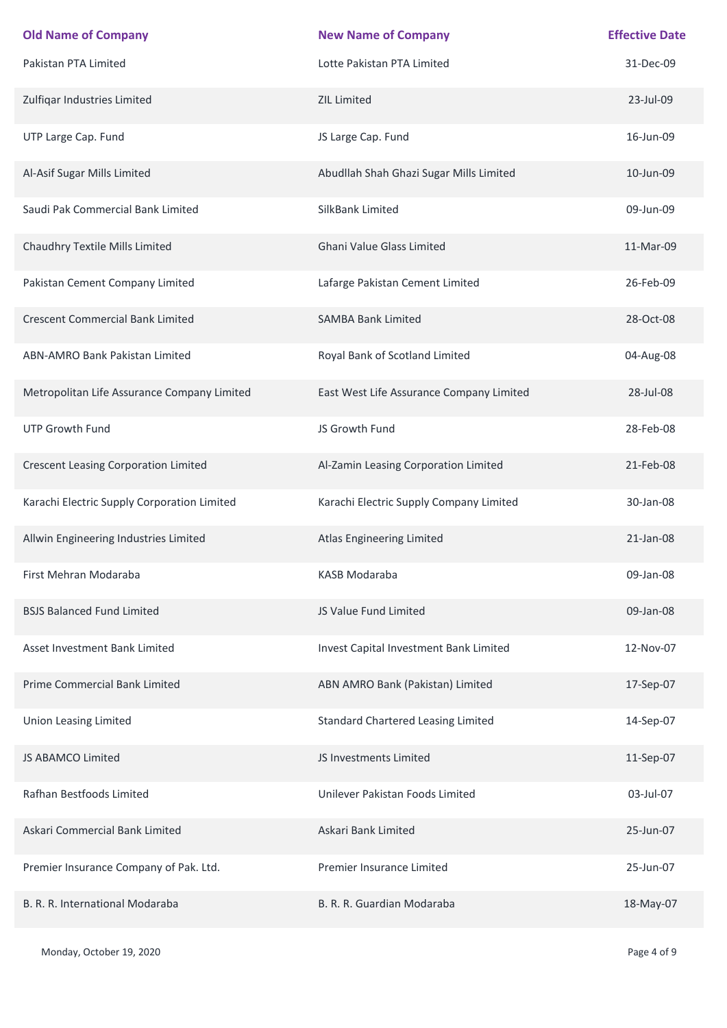| <b>Old Name of Company</b>                  | <b>New Name of Company</b>                | <b>Effective Date</b> |
|---------------------------------------------|-------------------------------------------|-----------------------|
| Pakistan PTA Limited                        | Lotte Pakistan PTA Limited                | 31-Dec-09             |
| Zulfiqar Industries Limited                 | <b>ZIL Limited</b>                        | 23-Jul-09             |
| UTP Large Cap. Fund                         | JS Large Cap. Fund                        | 16-Jun-09             |
| Al-Asif Sugar Mills Limited                 | Abudllah Shah Ghazi Sugar Mills Limited   | 10-Jun-09             |
| Saudi Pak Commercial Bank Limited           | SilkBank Limited                          | 09-Jun-09             |
| Chaudhry Textile Mills Limited              | <b>Ghani Value Glass Limited</b>          | 11-Mar-09             |
| Pakistan Cement Company Limited             | Lafarge Pakistan Cement Limited           | 26-Feb-09             |
| <b>Crescent Commercial Bank Limited</b>     | <b>SAMBA Bank Limited</b>                 | 28-Oct-08             |
| ABN-AMRO Bank Pakistan Limited              | Royal Bank of Scotland Limited            | 04-Aug-08             |
| Metropolitan Life Assurance Company Limited | East West Life Assurance Company Limited  | 28-Jul-08             |
| <b>UTP Growth Fund</b>                      | JS Growth Fund                            | 28-Feb-08             |
| <b>Crescent Leasing Corporation Limited</b> | Al-Zamin Leasing Corporation Limited      | 21-Feb-08             |
| Karachi Electric Supply Corporation Limited | Karachi Electric Supply Company Limited   | 30-Jan-08             |
| Allwin Engineering Industries Limited       | Atlas Engineering Limited                 | 21-Jan-08             |
| First Mehran Modaraba                       | KASB Modaraba                             | 09-Jan-08             |
| <b>BSJS Balanced Fund Limited</b>           | JS Value Fund Limited                     | 09-Jan-08             |
| Asset Investment Bank Limited               | Invest Capital Investment Bank Limited    | 12-Nov-07             |
| Prime Commercial Bank Limited               | ABN AMRO Bank (Pakistan) Limited          | 17-Sep-07             |
| <b>Union Leasing Limited</b>                | <b>Standard Chartered Leasing Limited</b> | 14-Sep-07             |
| JS ABAMCO Limited                           | JS Investments Limited                    | 11-Sep-07             |
| Rafhan Bestfoods Limited                    | Unilever Pakistan Foods Limited           | 03-Jul-07             |
| Askari Commercial Bank Limited              | Askari Bank Limited                       | 25-Jun-07             |
| Premier Insurance Company of Pak. Ltd.      | Premier Insurance Limited                 | 25-Jun-07             |
| B. R. R. International Modaraba             | B. R. R. Guardian Modaraba                | 18-May-07             |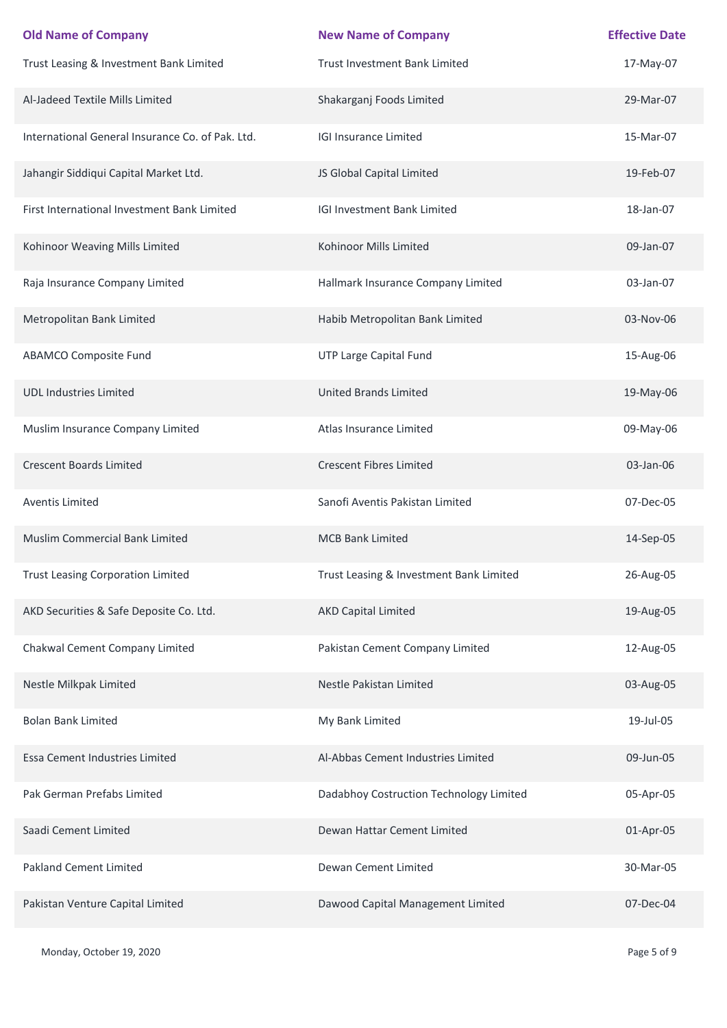| <b>Old Name of Company</b>                       | <b>New Name of Company</b>              | <b>Effective Date</b> |
|--------------------------------------------------|-----------------------------------------|-----------------------|
| Trust Leasing & Investment Bank Limited          | Trust Investment Bank Limited           | 17-May-07             |
| Al-Jadeed Textile Mills Limited                  | Shakarganj Foods Limited                | 29-Mar-07             |
| International General Insurance Co. of Pak. Ltd. | <b>IGI Insurance Limited</b>            | 15-Mar-07             |
| Jahangir Siddiqui Capital Market Ltd.            | JS Global Capital Limited               | 19-Feb-07             |
| First International Investment Bank Limited      | IGI Investment Bank Limited             | 18-Jan-07             |
| Kohinoor Weaving Mills Limited                   | Kohinoor Mills Limited                  | 09-Jan-07             |
| Raja Insurance Company Limited                   | Hallmark Insurance Company Limited      | 03-Jan-07             |
| Metropolitan Bank Limited                        | Habib Metropolitan Bank Limited         | 03-Nov-06             |
| <b>ABAMCO Composite Fund</b>                     | UTP Large Capital Fund                  | 15-Aug-06             |
| <b>UDL Industries Limited</b>                    | <b>United Brands Limited</b>            | 19-May-06             |
| Muslim Insurance Company Limited                 | Atlas Insurance Limited                 | 09-May-06             |
| <b>Crescent Boards Limited</b>                   | <b>Crescent Fibres Limited</b>          | 03-Jan-06             |
| <b>Aventis Limited</b>                           | Sanofi Aventis Pakistan Limited         | 07-Dec-05             |
| Muslim Commercial Bank Limited                   | <b>MCB Bank Limited</b>                 | 14-Sep-05             |
| <b>Trust Leasing Corporation Limited</b>         | Trust Leasing & Investment Bank Limited | 26-Aug-05             |
| AKD Securities & Safe Deposite Co. Ltd.          | <b>AKD Capital Limited</b>              | 19-Aug-05             |
| Chakwal Cement Company Limited                   | Pakistan Cement Company Limited         | 12-Aug-05             |
| Nestle Milkpak Limited                           | Nestle Pakistan Limited                 | 03-Aug-05             |
| <b>Bolan Bank Limited</b>                        | My Bank Limited                         | 19-Jul-05             |
| Essa Cement Industries Limited                   | Al-Abbas Cement Industries Limited      | 09-Jun-05             |
| Pak German Prefabs Limited                       | Dadabhoy Costruction Technology Limited | 05-Apr-05             |
| Saadi Cement Limited                             | Dewan Hattar Cement Limited             | 01-Apr-05             |
| <b>Pakland Cement Limited</b>                    | Dewan Cement Limited                    | 30-Mar-05             |
| Pakistan Venture Capital Limited                 | Dawood Capital Management Limited       | 07-Dec-04             |

Monday, October 19, 2020 **Page 5 of 9**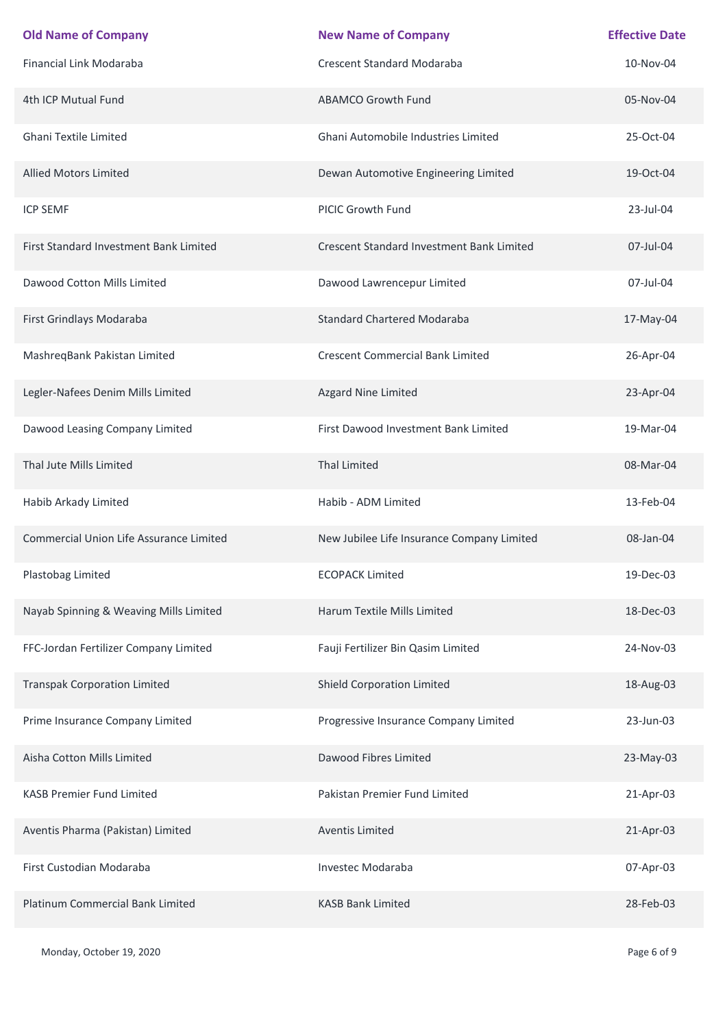| <b>Old Name of Company</b>              | <b>New Name of Company</b>                       | <b>Effective Date</b> |
|-----------------------------------------|--------------------------------------------------|-----------------------|
| <b>Financial Link Modaraba</b>          | <b>Crescent Standard Modaraba</b>                | 10-Nov-04             |
| 4th ICP Mutual Fund                     | <b>ABAMCO Growth Fund</b>                        | 05-Nov-04             |
| Ghani Textile Limited                   | Ghani Automobile Industries Limited              | 25-Oct-04             |
| <b>Allied Motors Limited</b>            | Dewan Automotive Engineering Limited             | 19-Oct-04             |
| <b>ICP SEMF</b>                         | PICIC Growth Fund                                | 23-Jul-04             |
| First Standard Investment Bank Limited  | <b>Crescent Standard Investment Bank Limited</b> | 07-Jul-04             |
| Dawood Cotton Mills Limited             | Dawood Lawrencepur Limited                       | 07-Jul-04             |
| First Grindlays Modaraba                | <b>Standard Chartered Modaraba</b>               | 17-May-04             |
| MashreqBank Pakistan Limited            | <b>Crescent Commercial Bank Limited</b>          | 26-Apr-04             |
| Legler-Nafees Denim Mills Limited       | Azgard Nine Limited                              | 23-Apr-04             |
| Dawood Leasing Company Limited          | First Dawood Investment Bank Limited             | 19-Mar-04             |
| Thal Jute Mills Limited                 | <b>Thal Limited</b>                              | 08-Mar-04             |
| Habib Arkady Limited                    | Habib - ADM Limited                              | 13-Feb-04             |
| Commercial Union Life Assurance Limited | New Jubilee Life Insurance Company Limited       | 08-Jan-04             |
| Plastobag Limited                       | <b>ECOPACK Limited</b>                           | 19-Dec-03             |
| Nayab Spinning & Weaving Mills Limited  | Harum Textile Mills Limited                      | 18-Dec-03             |
| FFC-Jordan Fertilizer Company Limited   | Fauji Fertilizer Bin Qasim Limited               | 24-Nov-03             |
| <b>Transpak Corporation Limited</b>     | Shield Corporation Limited                       | 18-Aug-03             |
| Prime Insurance Company Limited         | Progressive Insurance Company Limited            | 23-Jun-03             |
| Aisha Cotton Mills Limited              | Dawood Fibres Limited                            | 23-May-03             |
| <b>KASB Premier Fund Limited</b>        | Pakistan Premier Fund Limited                    | 21-Apr-03             |
| Aventis Pharma (Pakistan) Limited       | Aventis Limited                                  | 21-Apr-03             |
| First Custodian Modaraba                | Investec Modaraba                                | 07-Apr-03             |
| Platinum Commercial Bank Limited        | <b>KASB Bank Limited</b>                         | 28-Feb-03             |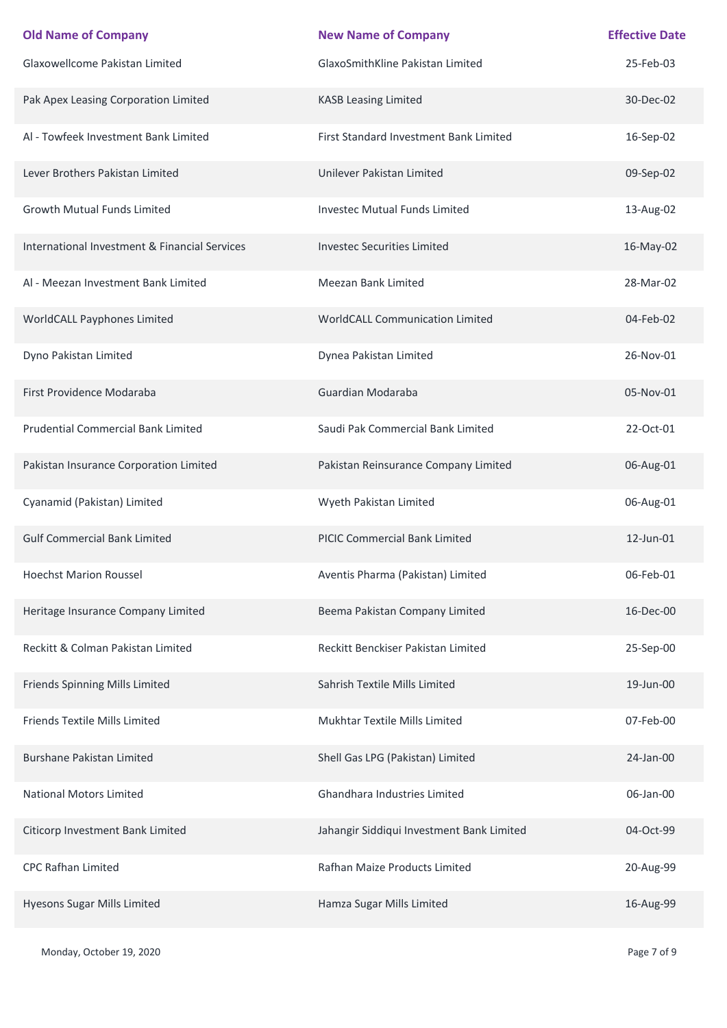| <b>Old Name of Company</b>                    | <b>New Name of Company</b>                | <b>Effective Date</b> |
|-----------------------------------------------|-------------------------------------------|-----------------------|
| Glaxowellcome Pakistan Limited                | GlaxoSmithKline Pakistan Limited          | 25-Feb-03             |
| Pak Apex Leasing Corporation Limited          | <b>KASB Leasing Limited</b>               | 30-Dec-02             |
| Al - Towfeek Investment Bank Limited          | First Standard Investment Bank Limited    | 16-Sep-02             |
| Lever Brothers Pakistan Limited               | Unilever Pakistan Limited                 | 09-Sep-02             |
| Growth Mutual Funds Limited                   | <b>Investec Mutual Funds Limited</b>      | 13-Aug-02             |
| International Investment & Financial Services | <b>Investec Securities Limited</b>        | 16-May-02             |
| Al - Meezan Investment Bank Limited           | Meezan Bank Limited                       | 28-Mar-02             |
| WorldCALL Payphones Limited                   | WorldCALL Communication Limited           | 04-Feb-02             |
| Dyno Pakistan Limited                         | Dynea Pakistan Limited                    | 26-Nov-01             |
| First Providence Modaraba                     | Guardian Modaraba                         | 05-Nov-01             |
| <b>Prudential Commercial Bank Limited</b>     | Saudi Pak Commercial Bank Limited         | 22-Oct-01             |
| Pakistan Insurance Corporation Limited        | Pakistan Reinsurance Company Limited      | 06-Aug-01             |
| Cyanamid (Pakistan) Limited                   | Wyeth Pakistan Limited                    | 06-Aug-01             |
| <b>Gulf Commercial Bank Limited</b>           | <b>PICIC Commercial Bank Limited</b>      | 12-Jun-01             |
| <b>Hoechst Marion Roussel</b>                 | Aventis Pharma (Pakistan) Limited         | 06-Feb-01             |
| Heritage Insurance Company Limited            | Beema Pakistan Company Limited            | 16-Dec-00             |
| Reckitt & Colman Pakistan Limited             | Reckitt Benckiser Pakistan Limited        | 25-Sep-00             |
| Friends Spinning Mills Limited                | Sahrish Textile Mills Limited             | 19-Jun-00             |
| Friends Textile Mills Limited                 | Mukhtar Textile Mills Limited             | 07-Feb-00             |
| <b>Burshane Pakistan Limited</b>              | Shell Gas LPG (Pakistan) Limited          | 24-Jan-00             |
| <b>National Motors Limited</b>                | Ghandhara Industries Limited              | 06-Jan-00             |
| Citicorp Investment Bank Limited              | Jahangir Siddiqui Investment Bank Limited | 04-Oct-99             |
| <b>CPC Rafhan Limited</b>                     | Rafhan Maize Products Limited             | 20-Aug-99             |
| Hyesons Sugar Mills Limited                   | Hamza Sugar Mills Limited                 | 16-Aug-99             |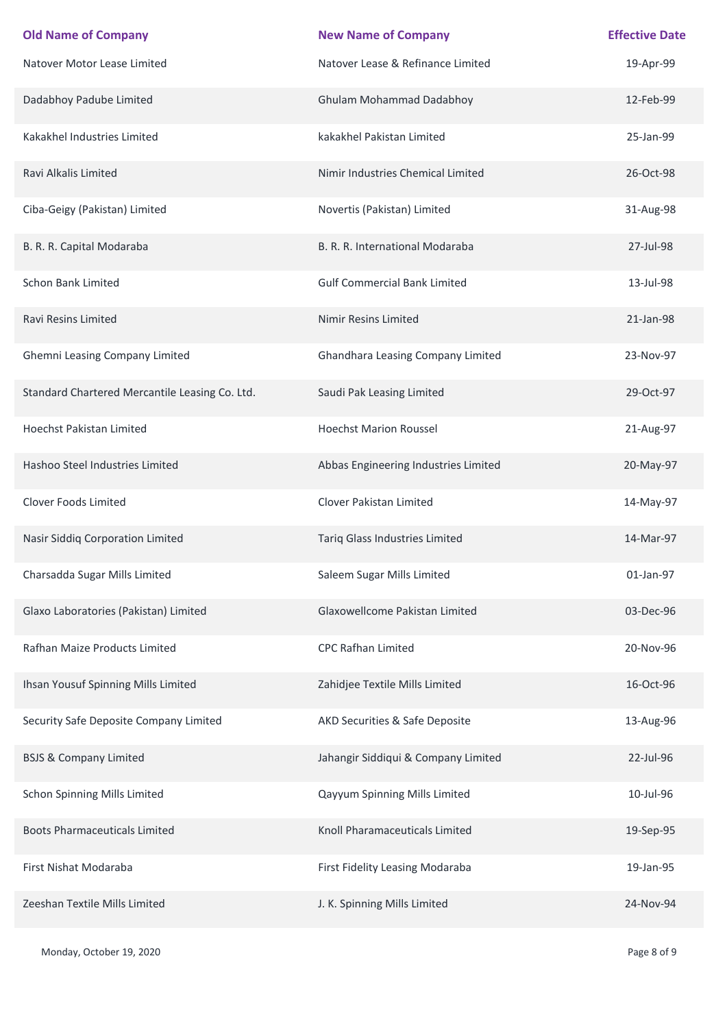| <b>Old Name of Company</b>                     | <b>New Name of Company</b>           | <b>Effective Date</b> |
|------------------------------------------------|--------------------------------------|-----------------------|
| Natover Motor Lease Limited                    | Natover Lease & Refinance Limited    | 19-Apr-99             |
| Dadabhoy Padube Limited                        | <b>Ghulam Mohammad Dadabhoy</b>      | 12-Feb-99             |
| Kakakhel Industries Limited                    | kakakhel Pakistan Limited            | 25-Jan-99             |
| Ravi Alkalis Limited                           | Nimir Industries Chemical Limited    | 26-Oct-98             |
| Ciba-Geigy (Pakistan) Limited                  | Novertis (Pakistan) Limited          | 31-Aug-98             |
| B. R. R. Capital Modaraba                      | B. R. R. International Modaraba      | 27-Jul-98             |
| Schon Bank Limited                             | <b>Gulf Commercial Bank Limited</b>  | 13-Jul-98             |
| Ravi Resins Limited                            | <b>Nimir Resins Limited</b>          | 21-Jan-98             |
| Ghemni Leasing Company Limited                 | Ghandhara Leasing Company Limited    | 23-Nov-97             |
| Standard Chartered Mercantile Leasing Co. Ltd. | Saudi Pak Leasing Limited            | 29-Oct-97             |
| <b>Hoechst Pakistan Limited</b>                | <b>Hoechst Marion Roussel</b>        | 21-Aug-97             |
| Hashoo Steel Industries Limited                | Abbas Engineering Industries Limited | 20-May-97             |
| Clover Foods Limited                           | Clover Pakistan Limited              | 14-May-97             |
| Nasir Siddiq Corporation Limited               | Tariq Glass Industries Limited       | 14-Mar-97             |
| Charsadda Sugar Mills Limited                  | Saleem Sugar Mills Limited           | 01-Jan-97             |
| Glaxo Laboratories (Pakistan) Limited          | Glaxowellcome Pakistan Limited       | 03-Dec-96             |
| Rafhan Maize Products Limited                  | <b>CPC Rafhan Limited</b>            | 20-Nov-96             |
| Ihsan Yousuf Spinning Mills Limited            | Zahidjee Textile Mills Limited       | 16-Oct-96             |
| Security Safe Deposite Company Limited         | AKD Securities & Safe Deposite       | 13-Aug-96             |
| <b>BSJS &amp; Company Limited</b>              | Jahangir Siddiqui & Company Limited  | 22-Jul-96             |
| Schon Spinning Mills Limited                   | Qayyum Spinning Mills Limited        | 10-Jul-96             |
| <b>Boots Pharmaceuticals Limited</b>           | Knoll Pharamaceuticals Limited       | 19-Sep-95             |
| First Nishat Modaraba                          | First Fidelity Leasing Modaraba      | 19-Jan-95             |
| Zeeshan Textile Mills Limited                  | J. K. Spinning Mills Limited         | 24-Nov-94             |